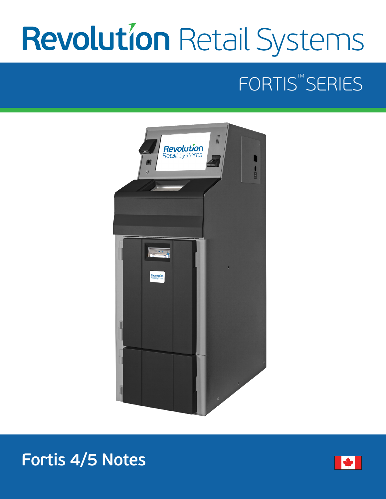# Revolution Retail Systems

# FORTIS<sup>™</sup>SERIES



# **Fortis 4/5 Notes**

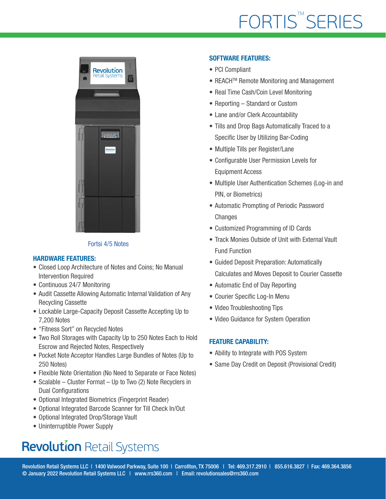# FORTIS<sup>™</sup>SERIES



#### Fortsi 4/5 Notes

#### HARDWARE FEATURES:

- Closed Loop Architecture of Notes and Coins; No Manual Intervention Required
- Continuous 24/7 Monitoring
- Audit Cassette Allowing Automatic Internal Validation of Any Recycling Cassette
- Lockable Large-Capacity Deposit Cassette Accepting Up to 7,200 Notes
- "Fitness Sort" on Recycled Notes
- Two Roll Storages with Capacity Up to 250 Notes Each to Hold Escrow and Rejected Notes, Respectively
- Pocket Note Acceptor Handles Large Bundles of Notes (Up to 250 Notes)
- Flexible Note Orientation (No Need to Separate or Face Notes)
- Scalable Cluster Format Up to Two (2) Note Recyclers in Dual Configurations
- Optional Integrated Biometrics (Fingerprint Reader)
- Optional Integrated Barcode Scanner for Till Check In/Out
- Optional Integrated Drop/Storage Vault
- Uninterruptible Power Supply

## **Revolution Retail Systems**

#### SOFTWARE FEATURES:

- PCI Compliant
- REACH<sup>™</sup> Remote Monitoring and Management
- Real Time Cash/Coin Level Monitoring
- Reporting Standard or Custom
- Lane and/or Clerk Accountability
- Tills and Drop Bags Automatically Traced to a Specific User by Utilizing Bar-Coding
- Multiple Tills per Register/Lane
- Configurable User Permission Levels for Equipment Access
- Multiple User Authentication Schemes (Log-in and PIN, or Biometrics)
- Automatic Prompting of Periodic Password **Changes**
- Customized Programming of ID Cards
- Track Monies Outside of Unit with External Vault Fund Function
- Guided Deposit Preparation: Automatically Calculates and Moves Deposit to Courier Cassette
- Automatic End of Day Reporting
- Courier Specific Log-In Menu
- Video Troubleshooting Tips
- Video Guidance for System Operation

#### FEATURE CAPABILITY:

- Ability to Integrate with POS System
- Same Day Credit on Deposit (Provisional Credit)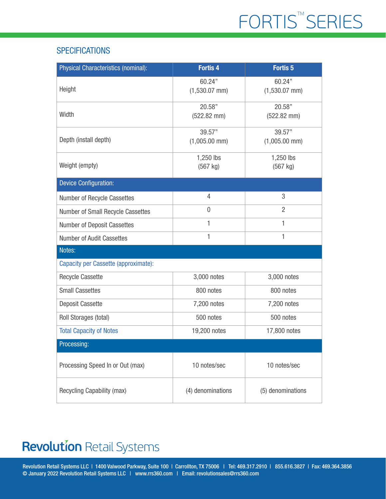#### **SPECIFICATIONS**

| <b>Physical Characteristics (nominal):</b> | <b>Fortis 4</b>            | <b>Fortis 5</b>            |
|--------------------------------------------|----------------------------|----------------------------|
| Height                                     | 60.24"<br>$(1,530.07$ mm)  | 60.24"<br>$(1,530.07$ mm)  |
| Width                                      | 20.58"<br>$(522.82$ mm $)$ | 20.58"<br>$(522.82$ mm $)$ |
| Depth (install depth)                      | 39.57"<br>$(1,005.00$ mm)  | 39.57"<br>$(1,005.00$ mm)  |
| Weight (empty)                             | 1,250 lbs<br>$(567$ kg)    | 1,250 lbs<br>(567 kg)      |
| <b>Device Configuration:</b>               |                            |                            |
| Number of Recycle Cassettes                | $\overline{4}$             | 3                          |
| Number of Small Recycle Cassettes          | $\mathbf 0$                | $\overline{2}$             |
| <b>Number of Deposit Cassettes</b>         | 1                          | 1                          |
| Number of Audit Cassettes                  | 1                          | 1                          |
| Notes:                                     |                            |                            |
| Capacity per Cassette (approximate):       |                            |                            |
| <b>Recycle Cassette</b>                    | 3,000 notes                | 3,000 notes                |
| <b>Small Cassettes</b>                     | 800 notes                  | 800 notes                  |
| Deposit Cassette                           | 7,200 notes                | 7,200 notes                |
| Roll Storages (total)                      | 500 notes                  | 500 notes                  |
| <b>Total Capacity of Notes</b>             | 19,200 notes               | 17,800 notes               |
| Processing:                                |                            |                            |
| Processing Speed In or Out (max)           | 10 notes/sec               | 10 notes/sec               |
| Recycling Capability (max)                 | (4) denominations          | (5) denominations          |

### **Revolution Retail Systems**

Revolution Retail Systems LLC | 1400 Valwood Parkway, Suite 100 | Carrollton, TX 75006 | Tel: 469.317.2910 | 855.616.3827 | Fax: 469.364.3856 © January 2022 Revolution Retail Systems LLC | www.rrs360.com | Email: revolutionsales@rrs360.com